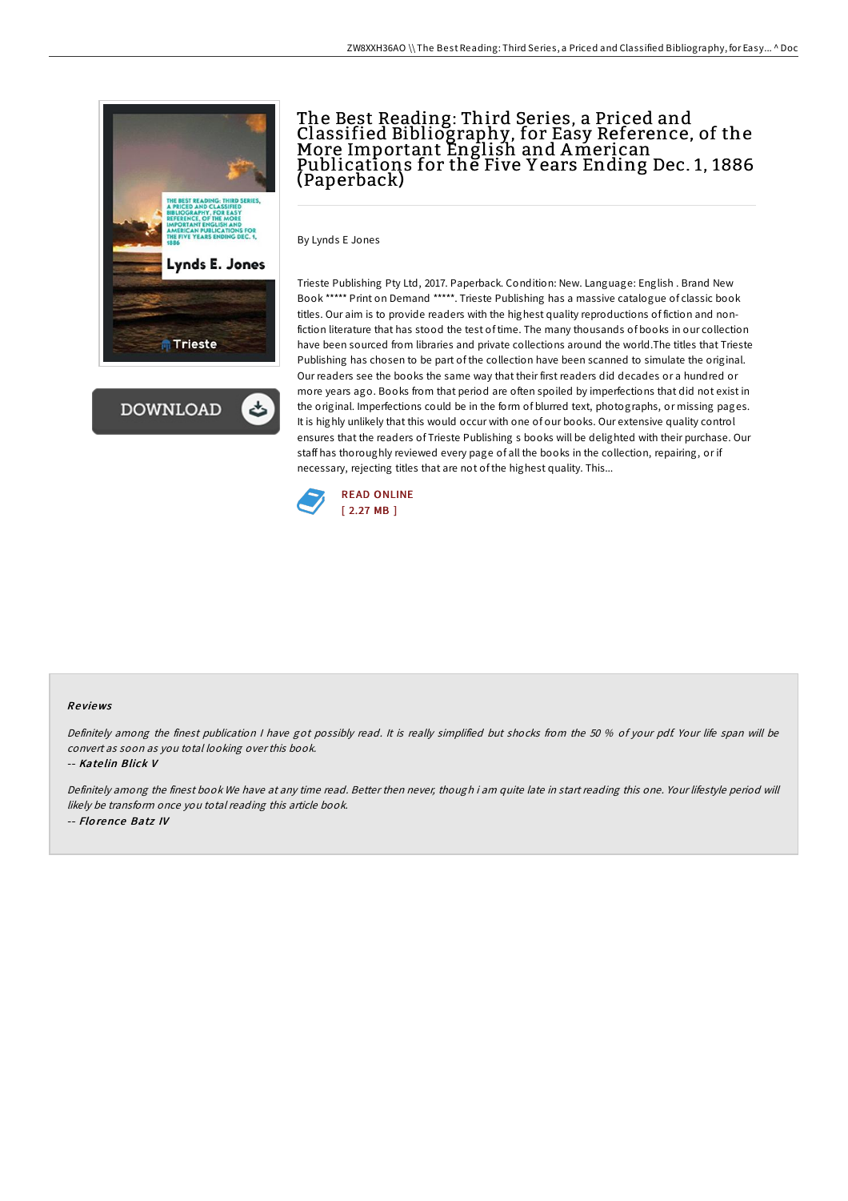



# The Best Reading: Third Series, a Priced and Classified Bibliography, for Easy Reference, of the More Important English and American Publications for the Five Y ears Ending Dec. 1, 1886 (Paperback)

By Lynds E Jones

Trieste Publishing Pty Ltd, 2017. Paperback. Condition: New. Language: English . Brand New Book \*\*\*\*\* Print on Demand \*\*\*\*\*. Trieste Publishing has a massive catalogue of classic book titles. Our aim is to provide readers with the highest quality reproductions of fiction and nonfiction literature that has stood the test of time. The many thousands of books in our collection have been sourced from libraries and private collections around the world.The titles that Trieste Publishing has chosen to be part of the collection have been scanned to simulate the original. Our readers see the books the same way that their first readers did decades or a hundred or more years ago. Books from that period are often spoiled by imperfections that did not exist in the original. Imperfections could be in the form of blurred text, photographs, or missing pages. It is highly unlikely that this would occur with one of our books. Our extensive quality control ensures that the readers of Trieste Publishing s books will be delighted with their purchase. Our staff has thoroughly reviewed every page of all the books in the collection, repairing, or if necessary, rejecting titles that are not of the highest quality. This...



### Re views

Definitely among the finest publication <sup>I</sup> have got possibly read. It is really simplified but shocks from the 50 % of your pdf. Your life span will be convert as soon as you total looking over this book.

### -- Kate lin Blick V

Definitely among the finest book We have at any time read. Better then never, though i am quite late in start reading this one. Your lifestyle period will likely be transform once you total reading this article book. -- Flo rence Batz IV